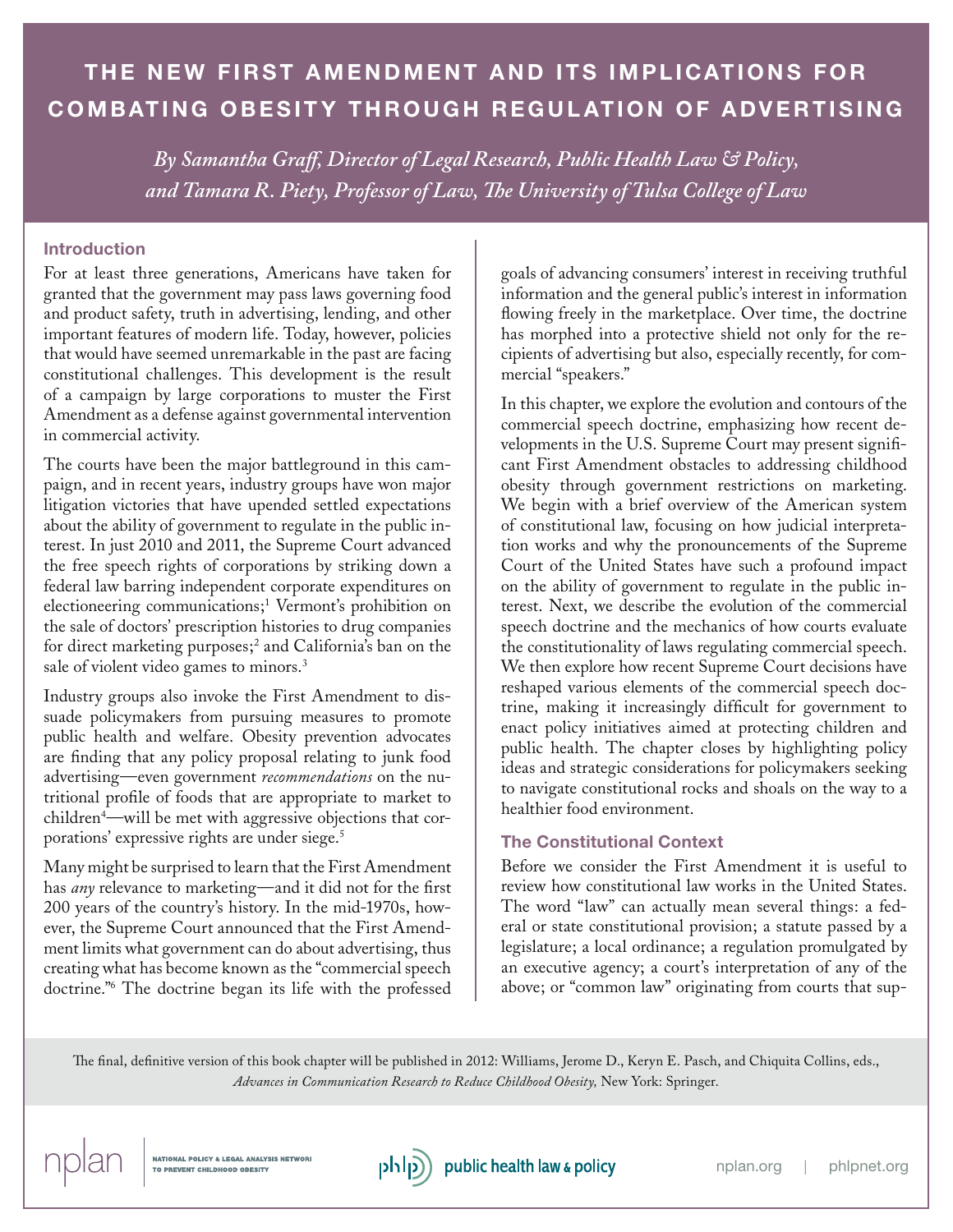# **THE NEW FIRST AMENDMENT AND ITS IMPLICATIONS FOR COMBATING OBESITY THROUGH REGULATION OF ADVERTISING**

*By Samantha Graff, Director of Legal Research, Public Health Law & Policy, and Tamara R. Piety, Professor of Law, The University of Tulsa College of Law*

### **Introduction**

For at least three generations, Americans have taken for granted that the government may pass laws governing food and product safety, truth in advertising, lending, and other important features of modern life. Today, however, policies that would have seemed unremarkable in the past are facing constitutional challenges. This development is the result of a campaign by large corporations to muster the First Amendment as a defense against governmental intervention in commercial activity.

The courts have been the major battleground in this campaign, and in recent years, industry groups have won major litigation victories that have upended settled expectations about the ability of government to regulate in the public interest. In just 2010 and 2011, the Supreme Court advanced the free speech rights of corporations by striking down a federal law barring independent corporate expenditures on electioneering communications;<sup>1</sup> Vermont's prohibition on the sale of doctors' prescription histories to drug companies for direct marketing purposes;<sup>2</sup> and California's ban on the sale of violent video games to minors.<sup>3</sup>

Industry groups also invoke the First Amendment to dissuade policymakers from pursuing measures to promote public health and welfare. Obesity prevention advocates are finding that any policy proposal relating to junk food advertising—even government *recommendations* on the nutritional profile of foods that are appropriate to market to children<sup>4</sup>—will be met with aggressive objections that corporations' expressive rights are under siege.<sup>5</sup>

Many might be surprised to learn that the First Amendment has *any* relevance to marketing—and it did not for the first 200 years of the country's history. In the mid-1970s, however, the Supreme Court announced that the First Amendment limits what government can do about advertising, thus creating what has become known as the "commercial speech doctrine."6 The doctrine began its life with the professed

goals of advancing consumers' interest in receiving truthful information and the general public's interest in information flowing freely in the marketplace. Over time, the doctrine has morphed into a protective shield not only for the recipients of advertising but also, especially recently, for commercial "speakers."

In this chapter, we explore the evolution and contours of the commercial speech doctrine, emphasizing how recent developments in the U.S. Supreme Court may present significant First Amendment obstacles to addressing childhood obesity through government restrictions on marketing. We begin with a brief overview of the American system of constitutional law, focusing on how judicial interpretation works and why the pronouncements of the Supreme Court of the United States have such a profound impact on the ability of government to regulate in the public interest. Next, we describe the evolution of the commercial speech doctrine and the mechanics of how courts evaluate the constitutionality of laws regulating commercial speech. We then explore how recent Supreme Court decisions have reshaped various elements of the commercial speech doctrine, making it increasingly difficult for government to enact policy initiatives aimed at protecting children and public health. The chapter closes by highlighting policy ideas and strategic considerations for policymakers seeking to navigate constitutional rocks and shoals on the way to a healthier food environment.

# **The Constitutional Context**

Before we consider the First Amendment it is useful to review how constitutional law works in the United States. The word "law" can actually mean several things: a federal or state constitutional provision; a statute passed by a legislature; a local ordinance; a regulation promulgated by an executive agency; a court's interpretation of any of the above; or "common law" originating from courts that sup-

The final, definitive version of this book chapter will be published in 2012: Williams, Jerome D., Keryn E. Pasch, and Chiquita Collins, eds., *Advances in Communication Research to Reduce Childhood Obesity,* New York: Springer.



Gildic health law & policy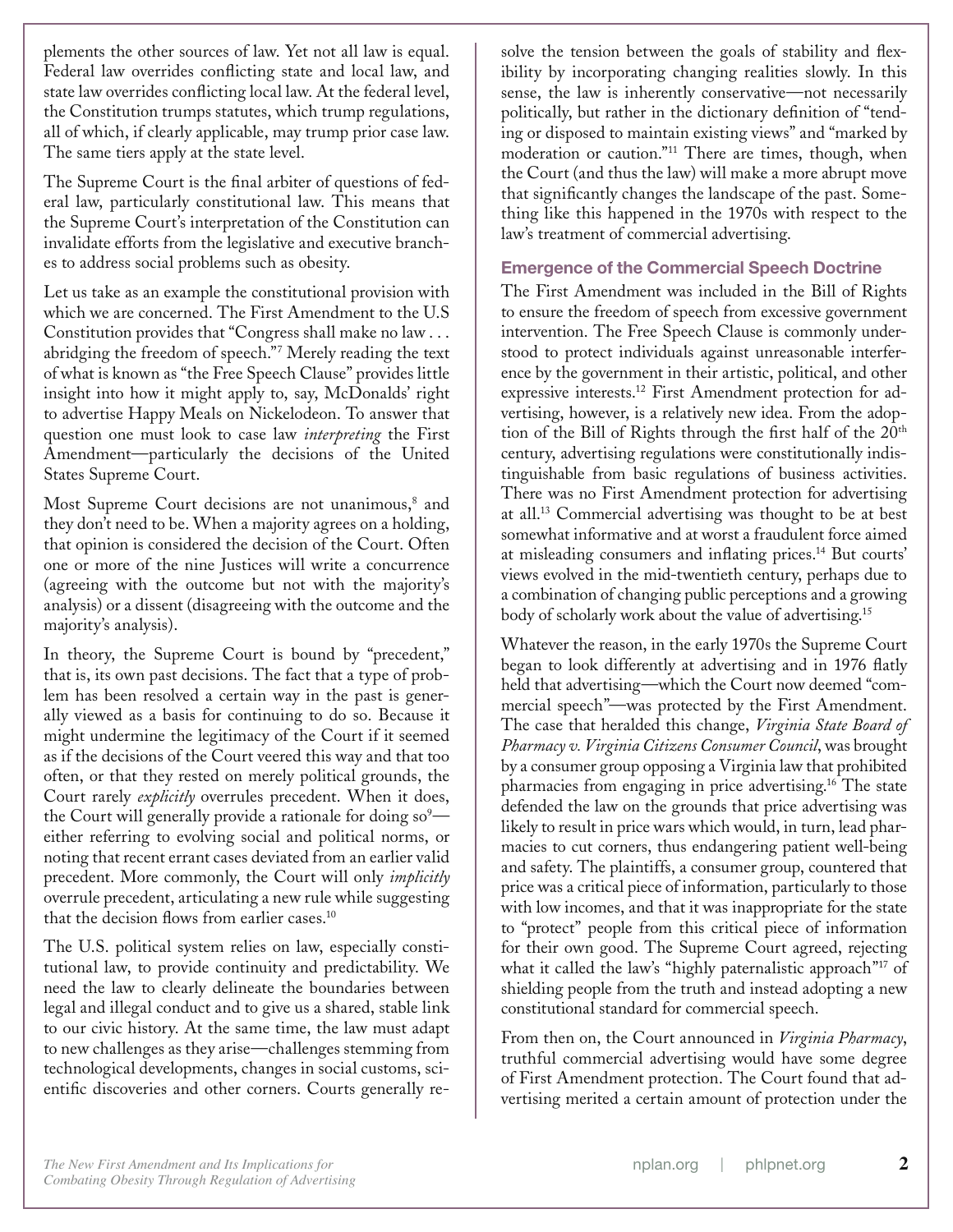plements the other sources of law. Yet not all law is equal. Federal law overrides conflicting state and local law, and state law overrides conflicting local law. At the federal level, the Constitution trumps statutes, which trump regulations, all of which, if clearly applicable, may trump prior case law. The same tiers apply at the state level.

The Supreme Court is the final arbiter of questions of federal law, particularly constitutional law. This means that the Supreme Court's interpretation of the Constitution can invalidate efforts from the legislative and executive branches to address social problems such as obesity.

Let us take as an example the constitutional provision with which we are concerned. The First Amendment to the U.S Constitution provides that "Congress shall make no law . . . abridging the freedom of speech."7 Merely reading the text of what is known as "the Free Speech Clause" provides little insight into how it might apply to, say, McDonalds' right to advertise Happy Meals on Nickelodeon. To answer that question one must look to case law *interpreting* the First Amendment—particularly the decisions of the United States Supreme Court.

Most Supreme Court decisions are not unanimous,<sup>8</sup> and they don't need to be. When a majority agrees on a holding, that opinion is considered the decision of the Court. Often one or more of the nine Justices will write a concurrence (agreeing with the outcome but not with the majority's analysis) or a dissent (disagreeing with the outcome and the majority's analysis).

In theory, the Supreme Court is bound by "precedent," that is, its own past decisions. The fact that a type of problem has been resolved a certain way in the past is generally viewed as a basis for continuing to do so. Because it might undermine the legitimacy of the Court if it seemed as if the decisions of the Court veered this way and that too often, or that they rested on merely political grounds, the Court rarely *explicitly* overrules precedent. When it does, the Court will generally provide a rationale for doing  $so^9$  either referring to evolving social and political norms, or noting that recent errant cases deviated from an earlier valid precedent. More commonly, the Court will only *implicitly* overrule precedent, articulating a new rule while suggesting that the decision flows from earlier cases.10

The U.S. political system relies on law, especially constitutional law, to provide continuity and predictability. We need the law to clearly delineate the boundaries between legal and illegal conduct and to give us a shared, stable link to our civic history. At the same time, the law must adapt to new challenges as they arise—challenges stemming from technological developments, changes in social customs, scientific discoveries and other corners. Courts generally re-

solve the tension between the goals of stability and flexibility by incorporating changing realities slowly. In this sense, the law is inherently conservative—not necessarily politically, but rather in the dictionary definition of "tending or disposed to maintain existing views" and "marked by moderation or caution."11 There are times, though, when the Court (and thus the law) will make a more abrupt move that significantly changes the landscape of the past. Something like this happened in the 1970s with respect to the law's treatment of commercial advertising.

# **Emergence of the Commercial Speech Doctrine**

The First Amendment was included in the Bill of Rights to ensure the freedom of speech from excessive government intervention. The Free Speech Clause is commonly understood to protect individuals against unreasonable interference by the government in their artistic, political, and other expressive interests.12 First Amendment protection for advertising, however, is a relatively new idea. From the adoption of the Bill of Rights through the first half of the 20<sup>th</sup> century, advertising regulations were constitutionally indistinguishable from basic regulations of business activities. There was no First Amendment protection for advertising at all.13 Commercial advertising was thought to be at best somewhat informative and at worst a fraudulent force aimed at misleading consumers and inflating prices.<sup>14</sup> But courts' views evolved in the mid-twentieth century, perhaps due to a combination of changing public perceptions and a growing body of scholarly work about the value of advertising.15

Whatever the reason, in the early 1970s the Supreme Court began to look differently at advertising and in 1976 flatly held that advertising—which the Court now deemed "commercial speech"—was protected by the First Amendment. The case that heralded this change, *Virginia State Board of Pharmacy v. Virginia Citizens Consumer Council*, was brought by a consumer group opposing a Virginia law that prohibited pharmacies from engaging in price advertising.16 The state defended the law on the grounds that price advertising was likely to result in price wars which would, in turn, lead pharmacies to cut corners, thus endangering patient well-being and safety. The plaintiffs, a consumer group, countered that price was a critical piece of information, particularly to those with low incomes, and that it was inappropriate for the state to "protect" people from this critical piece of information for their own good. The Supreme Court agreed, rejecting what it called the law's "highly paternalistic approach"<sup>17</sup> of shielding people from the truth and instead adopting a new constitutional standard for commercial speech.

From then on, the Court announced in *Virginia Pharmacy*, truthful commercial advertising would have some degree of First Amendment protection. The Court found that advertising merited a certain amount of protection under the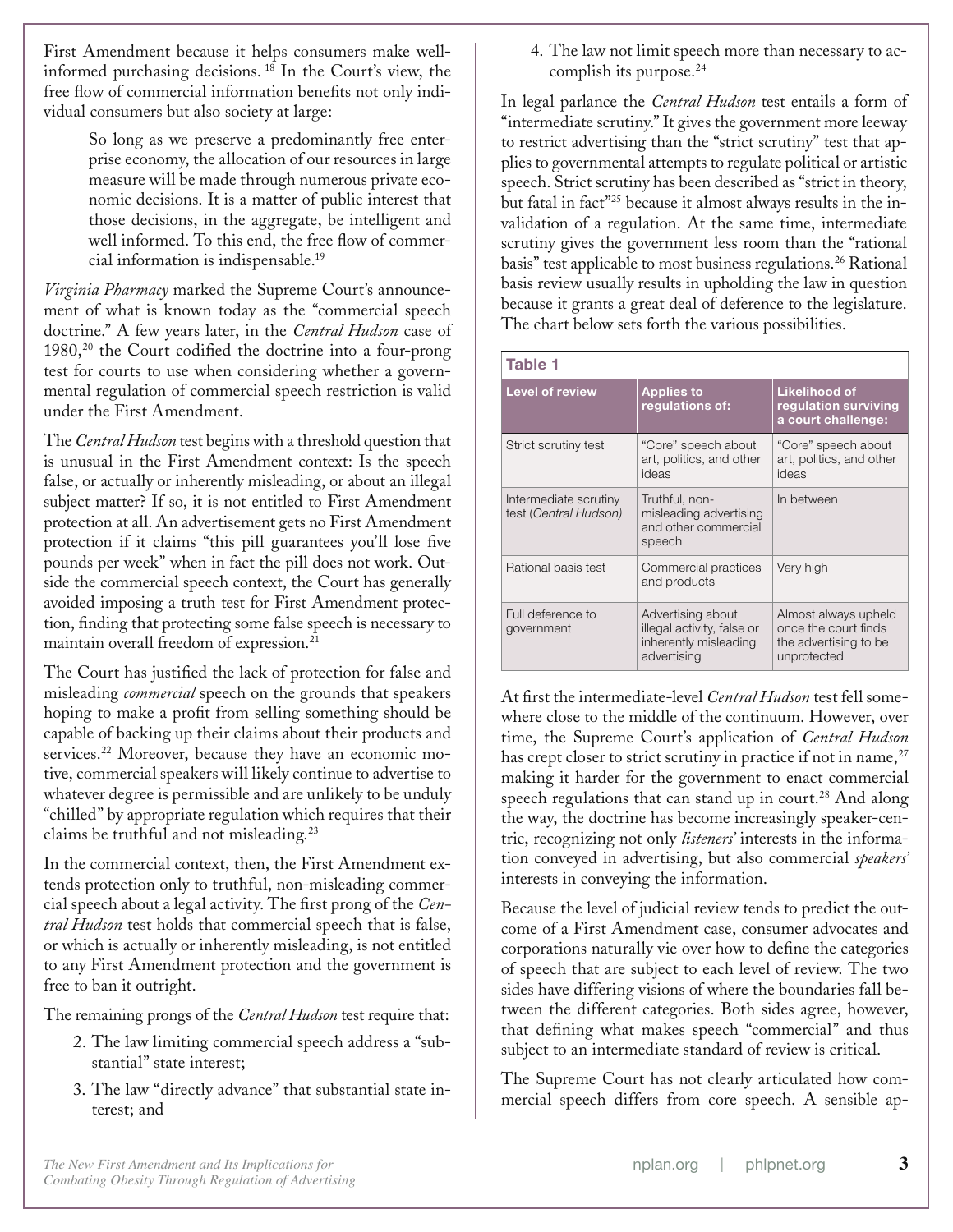First Amendment because it helps consumers make wellinformed purchasing decisions. 18 In the Court's view, the free flow of commercial information benefits not only individual consumers but also society at large:

> So long as we preserve a predominantly free enterprise economy, the allocation of our resources in large measure will be made through numerous private economic decisions. It is a matter of public interest that those decisions, in the aggregate, be intelligent and well informed. To this end, the free flow of commercial information is indispensable.19

*Virginia Pharmacy* marked the Supreme Court's announcement of what is known today as the "commercial speech doctrine." A few years later, in the *Central Hudson* case of 1980,20 the Court codified the doctrine into a four-prong test for courts to use when considering whether a governmental regulation of commercial speech restriction is valid under the First Amendment.

The *Central Hudson* test begins with a threshold question that is unusual in the First Amendment context: Is the speech false, or actually or inherently misleading, or about an illegal subject matter? If so, it is not entitled to First Amendment protection at all. An advertisement gets no First Amendment protection if it claims "this pill guarantees you'll lose five pounds per week" when in fact the pill does not work. Outside the commercial speech context, the Court has generally avoided imposing a truth test for First Amendment protection, finding that protecting some false speech is necessary to maintain overall freedom of expression.<sup>21</sup>

The Court has justified the lack of protection for false and misleading *commercial* speech on the grounds that speakers hoping to make a profit from selling something should be capable of backing up their claims about their products and services.<sup>22</sup> Moreover, because they have an economic motive, commercial speakers will likely continue to advertise to whatever degree is permissible and are unlikely to be unduly "chilled" by appropriate regulation which requires that their claims be truthful and not misleading.23

In the commercial context, then, the First Amendment extends protection only to truthful, non-misleading commercial speech about a legal activity. The first prong of the *Central Hudson* test holds that commercial speech that is false, or which is actually or inherently misleading, is not entitled to any First Amendment protection and the government is free to ban it outright.

The remaining prongs of the *Central Hudson* test require that:

- 2. The law limiting commercial speech address a "substantial" state interest;
- 3. The law "directly advance" that substantial state interest; and

4. The law not limit speech more than necessary to accomplish its purpose.<sup>24</sup>

In legal parlance the *Central Hudson* test entails a form of "intermediate scrutiny." It gives the government more leeway to restrict advertising than the "strict scrutiny" test that applies to governmental attempts to regulate political or artistic speech. Strict scrutiny has been described as "strict in theory, but fatal in fact"<sup>25</sup> because it almost always results in the invalidation of a regulation. At the same time, intermediate scrutiny gives the government less room than the "rational basis" test applicable to most business regulations.<sup>26</sup> Rational basis review usually results in upholding the law in question because it grants a great deal of deference to the legislature. The chart below sets forth the various possibilities.

| Table 1                                        |                                                                                         |                                                                                      |
|------------------------------------------------|-----------------------------------------------------------------------------------------|--------------------------------------------------------------------------------------|
| <b>Level of review</b>                         | <b>Applies to</b><br>regulations of:                                                    | Likelihood of<br>regulation surviving<br>a court challenge:                          |
| Strict scrutiny test                           | "Core" speech about<br>art, politics, and other<br>ideas                                | "Core" speech about<br>art, politics, and other<br>ideas                             |
| Intermediate scrutiny<br>test (Central Hudson) | Truthful, non-<br>misleading advertising<br>and other commercial<br>speech              | In between                                                                           |
| Rational basis test                            | Commercial practices<br>and products                                                    | Very high                                                                            |
| Full deference to<br>government                | Advertising about<br>illegal activity, false or<br>inherently misleading<br>advertising | Almost always upheld<br>once the court finds<br>the advertising to be<br>unprotected |

At first the intermediate-level *Central Hudson* test fell somewhere close to the middle of the continuum. However, over time, the Supreme Court's application of *Central Hudson* has crept closer to strict scrutiny in practice if not in name,<sup>27</sup> making it harder for the government to enact commercial speech regulations that can stand up in court.<sup>28</sup> And along the way, the doctrine has become increasingly speaker-centric, recognizing not only *listeners'* interests in the information conveyed in advertising, but also commercial *speakers'* interests in conveying the information.

Because the level of judicial review tends to predict the outcome of a First Amendment case, consumer advocates and corporations naturally vie over how to define the categories of speech that are subject to each level of review. The two sides have differing visions of where the boundaries fall between the different categories. Both sides agree, however, that defining what makes speech "commercial" and thus subject to an intermediate standard of review is critical.

The Supreme Court has not clearly articulated how commercial speech differs from core speech. A sensible ap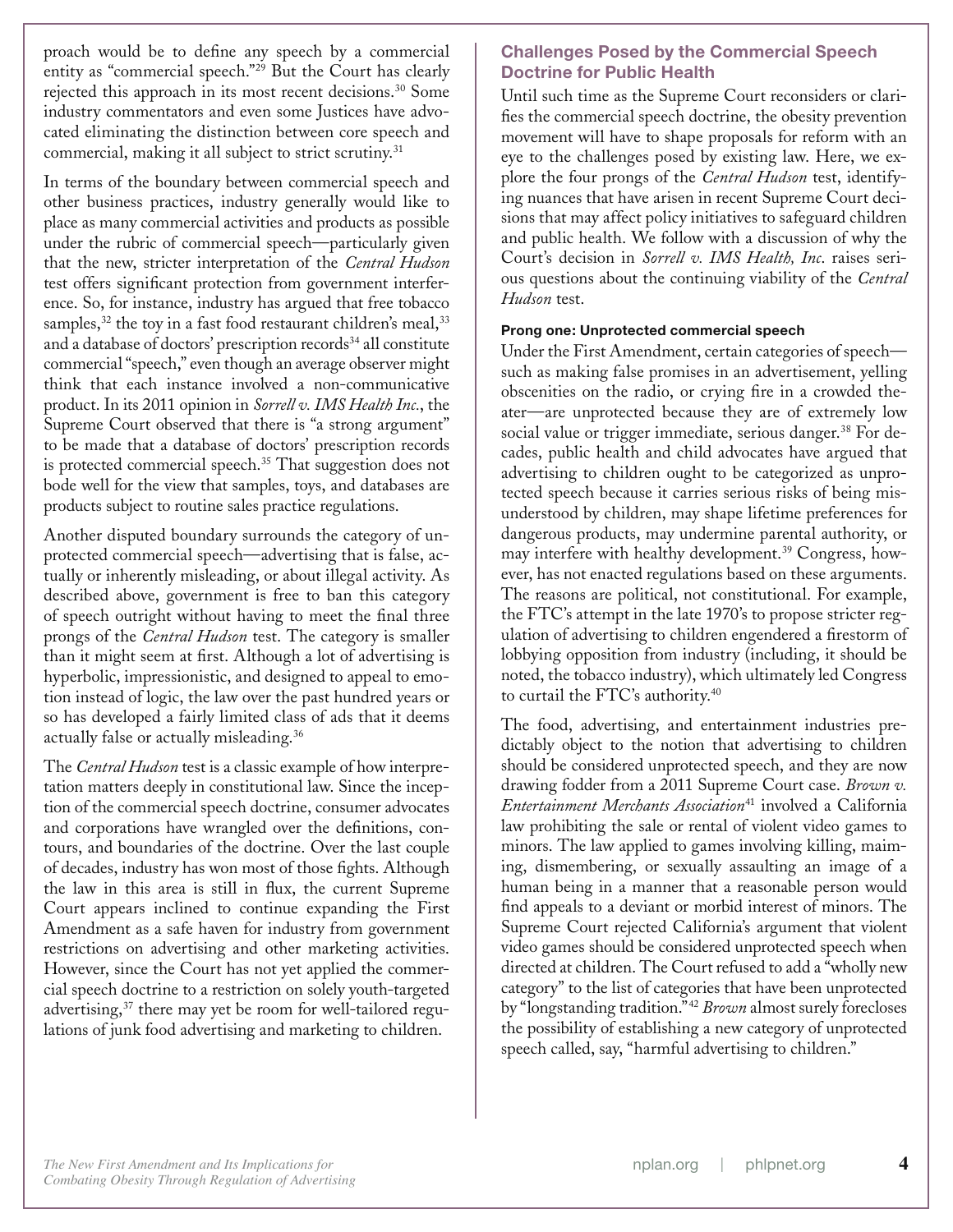proach would be to define any speech by a commercial entity as "commercial speech."29 But the Court has clearly rejected this approach in its most recent decisions.<sup>30</sup> Some industry commentators and even some Justices have advocated eliminating the distinction between core speech and commercial, making it all subject to strict scrutiny.<sup>31</sup>

In terms of the boundary between commercial speech and other business practices, industry generally would like to place as many commercial activities and products as possible under the rubric of commercial speech—particularly given that the new, stricter interpretation of the *Central Hudson* test offers significant protection from government interference. So, for instance, industry has argued that free tobacco samples, $32$  the toy in a fast food restaurant children's meal,  $33$ and a database of doctors' prescription records<sup>34</sup> all constitute commercial "speech," even though an average observer might think that each instance involved a non-communicative product. In its 2011 opinion in *Sorrell v. IMS Health Inc.*, the Supreme Court observed that there is "a strong argument" to be made that a database of doctors' prescription records is protected commercial speech.<sup>35</sup> That suggestion does not bode well for the view that samples, toys, and databases are products subject to routine sales practice regulations.

Another disputed boundary surrounds the category of unprotected commercial speech—advertising that is false, actually or inherently misleading, or about illegal activity. As described above, government is free to ban this category of speech outright without having to meet the final three prongs of the *Central Hudson* test. The category is smaller than it might seem at first. Although a lot of advertising is hyperbolic, impressionistic, and designed to appeal to emotion instead of logic, the law over the past hundred years or so has developed a fairly limited class of ads that it deems actually false or actually misleading.36

The *Central Hudson* test is a classic example of how interpretation matters deeply in constitutional law. Since the inception of the commercial speech doctrine, consumer advocates and corporations have wrangled over the definitions, contours, and boundaries of the doctrine. Over the last couple of decades, industry has won most of those fights. Although the law in this area is still in flux, the current Supreme Court appears inclined to continue expanding the First Amendment as a safe haven for industry from government restrictions on advertising and other marketing activities. However, since the Court has not yet applied the commercial speech doctrine to a restriction on solely youth-targeted advertising,<sup>37</sup> there may yet be room for well-tailored regulations of junk food advertising and marketing to children.

# **Challenges Posed by the Commercial Speech Doctrine for Public Health**

Until such time as the Supreme Court reconsiders or clarifies the commercial speech doctrine, the obesity prevention movement will have to shape proposals for reform with an eye to the challenges posed by existing law. Here, we explore the four prongs of the *Central Hudson* test, identifying nuances that have arisen in recent Supreme Court decisions that may affect policy initiatives to safeguard children and public health. We follow with a discussion of why the Court's decision in *Sorrell v. IMS Health, Inc*. raises serious questions about the continuing viability of the *Central Hudson* test.

#### **Prong one: Unprotected commercial speech**

Under the First Amendment, certain categories of speech such as making false promises in an advertisement, yelling obscenities on the radio, or crying fire in a crowded theater—are unprotected because they are of extremely low social value or trigger immediate, serious danger.<sup>38</sup> For decades, public health and child advocates have argued that advertising to children ought to be categorized as unprotected speech because it carries serious risks of being misunderstood by children, may shape lifetime preferences for dangerous products, may undermine parental authority, or may interfere with healthy development.<sup>39</sup> Congress, however, has not enacted regulations based on these arguments. The reasons are political, not constitutional. For example, the FTC's attempt in the late 1970's to propose stricter regulation of advertising to children engendered a firestorm of lobbying opposition from industry (including, it should be noted, the tobacco industry), which ultimately led Congress to curtail the FTC's authority.40

The food, advertising, and entertainment industries predictably object to the notion that advertising to children should be considered unprotected speech, and they are now drawing fodder from a 2011 Supreme Court case. *Brown v. Entertainment Merchants Association*41 involved a California law prohibiting the sale or rental of violent video games to minors. The law applied to games involving killing, maiming, dismembering, or sexually assaulting an image of a human being in a manner that a reasonable person would find appeals to a deviant or morbid interest of minors. The Supreme Court rejected California's argument that violent video games should be considered unprotected speech when directed at children. The Court refused to add a "wholly new category" to the list of categories that have been unprotected by "longstanding tradition."42 *Brown* almost surely forecloses the possibility of establishing a new category of unprotected speech called, say, "harmful advertising to children."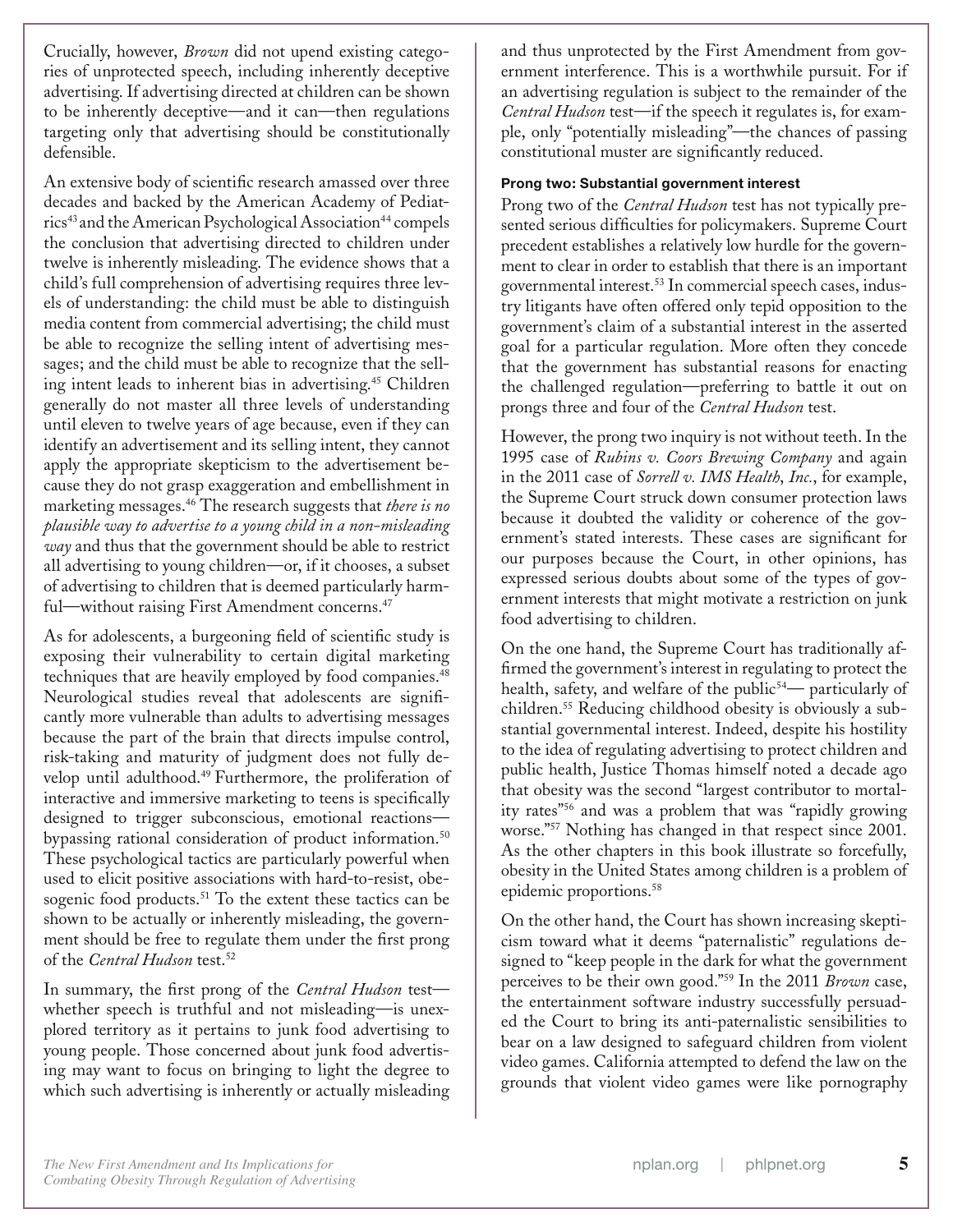Crucially, however, *Brown* did not upend existing categories of unprotected speech, including inherently deceptive advertising. If advertising directed at children can be shown to be inherently deceptive—and it can—then regulations targeting only that advertising should be constitutionally defensible.

An extensive body of scientific research amassed over three decades and backed by the American Academy of Pediatrics<sup>43</sup> and the American Psychological Association<sup>44</sup> compels the conclusion that advertising directed to children under twelve is inherently misleading. The evidence shows that a child's full comprehension of advertising requires three levels of understanding: the child must be able to distinguish media content from commercial advertising; the child must be able to recognize the selling intent of advertising messages; and the child must be able to recognize that the selling intent leads to inherent bias in advertising.<sup>45</sup> Children generally do not master all three levels of understanding until eleven to twelve years of age because, even if they can identify an advertisement and its selling intent, they cannot apply the appropriate skepticism to the advertisement because they do not grasp exaggeration and embellishment in marketing messages.46 The research suggests that *there is no plausible way to advertise to a young child in a non-misleading way* and thus that the government should be able to restrict all advertising to young children—or, if it chooses, a subset of advertising to children that is deemed particularly harmful—without raising First Amendment concerns.<sup>47</sup>

As for adolescents, a burgeoning field of scientific study is exposing their vulnerability to certain digital marketing techniques that are heavily employed by food companies.<sup>48</sup> Neurological studies reveal that adolescents are significantly more vulnerable than adults to advertising messages because the part of the brain that directs impulse control, risk-taking and maturity of judgment does not fully develop until adulthood.49 Furthermore, the proliferation of interactive and immersive marketing to teens is specifically designed to trigger subconscious, emotional reactions bypassing rational consideration of product information.<sup>50</sup> These psychological tactics are particularly powerful when used to elicit positive associations with hard-to-resist, obesogenic food products.<sup>51</sup> To the extent these tactics can be shown to be actually or inherently misleading, the government should be free to regulate them under the first prong of the *Central Hudson* test.<sup>52</sup>

In summary, the first prong of the *Central Hudson* test whether speech is truthful and not misleading—is unexplored territory as it pertains to junk food advertising to young people. Those concerned about junk food advertising may want to focus on bringing to light the degree to which such advertising is inherently or actually misleading and thus unprotected by the First Amendment from government interference. This is a worthwhile pursuit. For if an advertising regulation is subject to the remainder of the *Central Hudson* test—if the speech it regulates is, for example, only "potentially misleading"—the chances of passing constitutional muster are significantly reduced.

#### **Prong two: Substantial government interest**

Prong two of the *Central Hudson* test has not typically presented serious difficulties for policymakers. Supreme Court precedent establishes a relatively low hurdle for the government to clear in order to establish that there is an important governmental interest.53 In commercial speech cases, industry litigants have often offered only tepid opposition to the government's claim of a substantial interest in the asserted goal for a particular regulation. More often they concede that the government has substantial reasons for enacting the challenged regulation—preferring to battle it out on prongs three and four of the *Central Hudson* test.

However, the prong two inquiry is not without teeth. In the 1995 case of *Rubins v. Coors Brewing Company* and again in the 2011 case of *Sorrell v. IMS Health*, *Inc.*, for example, the Supreme Court struck down consumer protection laws because it doubted the validity or coherence of the government's stated interests. These cases are significant for our purposes because the Court, in other opinions, has expressed serious doubts about some of the types of government interests that might motivate a restriction on junk food advertising to children.

On the one hand, the Supreme Court has traditionally affirmed the government's interest in regulating to protect the health, safety, and welfare of the public<sup>54</sup>— particularly of children.55 Reducing childhood obesity is obviously a substantial governmental interest. Indeed, despite his hostility to the idea of regulating advertising to protect children and public health, Justice Thomas himself noted a decade ago that obesity was the second "largest contributor to mortality rates"56 and was a problem that was "rapidly growing worse."57 Nothing has changed in that respect since 2001. As the other chapters in this book illustrate so forcefully, obesity in the United States among children is a problem of epidemic proportions.<sup>58</sup>

On the other hand, the Court has shown increasing skepticism toward what it deems "paternalistic" regulations designed to "keep people in the dark for what the government perceives to be their own good."59 In the 2011 *Brown* case, the entertainment software industry successfully persuaded the Court to bring its anti-paternalistic sensibilities to bear on a law designed to safeguard children from violent video games. California attempted to defend the law on the grounds that violent video games were like pornography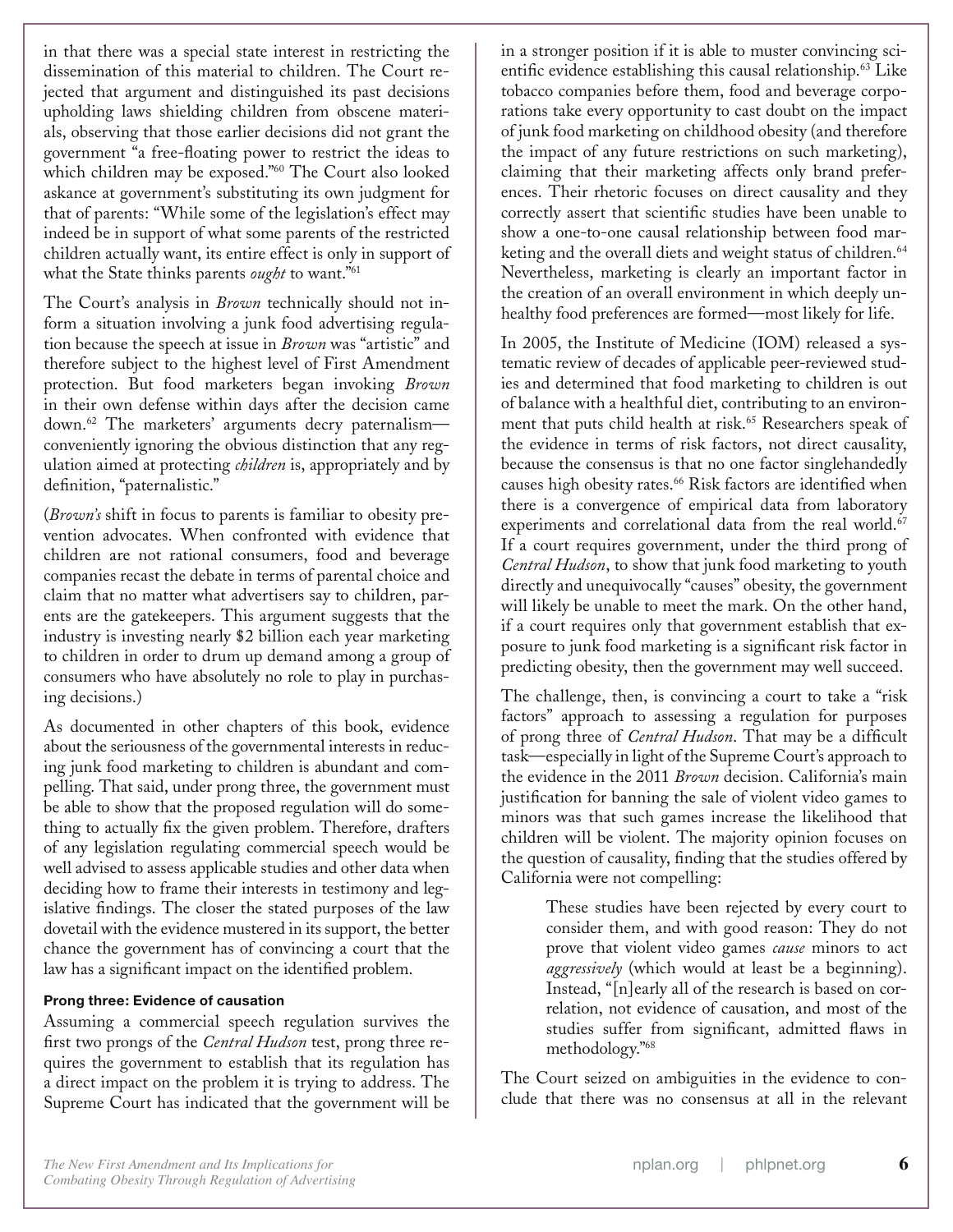in that there was a special state interest in restricting the dissemination of this material to children. The Court rejected that argument and distinguished its past decisions upholding laws shielding children from obscene materials, observing that those earlier decisions did not grant the government "a free-floating power to restrict the ideas to which children may be exposed."60 The Court also looked askance at government's substituting its own judgment for that of parents: "While some of the legislation's effect may indeed be in support of what some parents of the restricted children actually want, its entire effect is only in support of what the State thinks parents *ought* to want."<sup>61</sup>

The Court's analysis in *Brown* technically should not inform a situation involving a junk food advertising regulation because the speech at issue in *Brown* was "artistic" and therefore subject to the highest level of First Amendment protection. But food marketers began invoking *Brown* in their own defense within days after the decision came down.62 The marketers' arguments decry paternalism conveniently ignoring the obvious distinction that any regulation aimed at protecting *children* is, appropriately and by definition, "paternalistic."

(*Brown's* shift in focus to parents is familiar to obesity prevention advocates. When confronted with evidence that children are not rational consumers, food and beverage companies recast the debate in terms of parental choice and claim that no matter what advertisers say to children, parents are the gatekeepers. This argument suggests that the industry is investing nearly \$2 billion each year marketing to children in order to drum up demand among a group of consumers who have absolutely no role to play in purchasing decisions.)

As documented in other chapters of this book, evidence about the seriousness of the governmental interests in reducing junk food marketing to children is abundant and compelling. That said, under prong three, the government must be able to show that the proposed regulation will do something to actually fix the given problem. Therefore, drafters of any legislation regulating commercial speech would be well advised to assess applicable studies and other data when deciding how to frame their interests in testimony and legislative findings. The closer the stated purposes of the law dovetail with the evidence mustered in its support, the better chance the government has of convincing a court that the law has a significant impact on the identified problem.

#### **Prong three: Evidence of causation**

Assuming a commercial speech regulation survives the first two prongs of the *Central Hudson* test, prong three requires the government to establish that its regulation has a direct impact on the problem it is trying to address. The Supreme Court has indicated that the government will be

in a stronger position if it is able to muster convincing scientific evidence establishing this causal relationship.<sup>63</sup> Like tobacco companies before them, food and beverage corporations take every opportunity to cast doubt on the impact of junk food marketing on childhood obesity (and therefore the impact of any future restrictions on such marketing), claiming that their marketing affects only brand preferences. Their rhetoric focuses on direct causality and they correctly assert that scientific studies have been unable to show a one-to-one causal relationship between food marketing and the overall diets and weight status of children.<sup>64</sup> Nevertheless, marketing is clearly an important factor in the creation of an overall environment in which deeply unhealthy food preferences are formed—most likely for life.

In 2005, the Institute of Medicine (IOM) released a systematic review of decades of applicable peer-reviewed studies and determined that food marketing to children is out of balance with a healthful diet, contributing to an environment that puts child health at risk.<sup>65</sup> Researchers speak of the evidence in terms of risk factors, not direct causality, because the consensus is that no one factor singlehandedly causes high obesity rates.<sup>66</sup> Risk factors are identified when there is a convergence of empirical data from laboratory experiments and correlational data from the real world.<sup>67</sup> If a court requires government, under the third prong of *Central Hudson*, to show that junk food marketing to youth directly and unequivocally "causes" obesity, the government will likely be unable to meet the mark. On the other hand, if a court requires only that government establish that exposure to junk food marketing is a significant risk factor in predicting obesity, then the government may well succeed.

The challenge, then, is convincing a court to take a "risk factors" approach to assessing a regulation for purposes of prong three of *Central Hudson*. That may be a difficult task—especially in light of the Supreme Court's approach to the evidence in the 2011 *Brown* decision. California's main justification for banning the sale of violent video games to minors was that such games increase the likelihood that children will be violent. The majority opinion focuses on the question of causality, finding that the studies offered by California were not compelling:

> These studies have been rejected by every court to consider them, and with good reason: They do not prove that violent video games *cause* minors to act *aggressively* (which would at least be a beginning). Instead, "[n]early all of the research is based on correlation, not evidence of causation, and most of the studies suffer from significant, admitted flaws in methodology."68

The Court seized on ambiguities in the evidence to conclude that there was no consensus at all in the relevant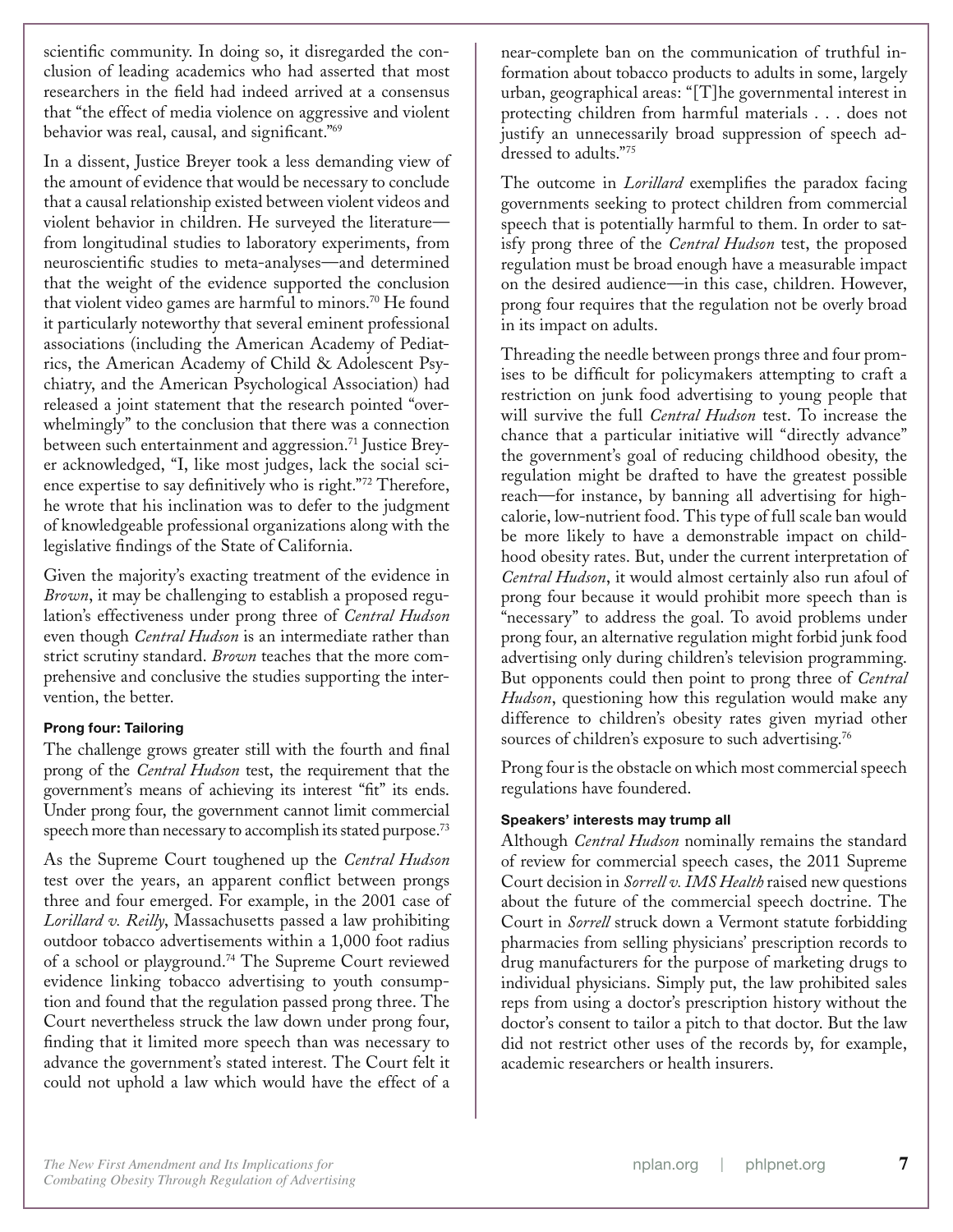scientific community. In doing so, it disregarded the conclusion of leading academics who had asserted that most researchers in the field had indeed arrived at a consensus that "the effect of media violence on aggressive and violent behavior was real, causal, and significant."69

In a dissent, Justice Breyer took a less demanding view of the amount of evidence that would be necessary to conclude that a causal relationship existed between violent videos and violent behavior in children. He surveyed the literature from longitudinal studies to laboratory experiments, from neuroscientific studies to meta-analyses—and determined that the weight of the evidence supported the conclusion that violent video games are harmful to minors.<sup>70</sup> He found it particularly noteworthy that several eminent professional associations (including the American Academy of Pediatrics, the American Academy of Child & Adolescent Psychiatry, and the American Psychological Association) had released a joint statement that the research pointed "overwhelmingly" to the conclusion that there was a connection between such entertainment and aggression.<sup>71</sup> Justice Breyer acknowledged, "I, like most judges, lack the social science expertise to say definitively who is right."72 Therefore, he wrote that his inclination was to defer to the judgment of knowledgeable professional organizations along with the legislative findings of the State of California.

Given the majority's exacting treatment of the evidence in *Brown*, it may be challenging to establish a proposed regulation's effectiveness under prong three of *Central Hudson* even though *Central Hudson* is an intermediate rather than strict scrutiny standard. *Brown* teaches that the more comprehensive and conclusive the studies supporting the intervention, the better.

# **Prong four: Tailoring**

The challenge grows greater still with the fourth and final prong of the *Central Hudson* test, the requirement that the government's means of achieving its interest "fit" its ends. Under prong four, the government cannot limit commercial speech more than necessary to accomplish its stated purpose.<sup>73</sup>

As the Supreme Court toughened up the *Central Hudson* test over the years, an apparent conflict between prongs three and four emerged. For example, in the 2001 case of *Lorillard v. Reilly*, Massachusetts passed a law prohibiting outdoor tobacco advertisements within a 1,000 foot radius of a school or playground.74 The Supreme Court reviewed evidence linking tobacco advertising to youth consumption and found that the regulation passed prong three. The Court nevertheless struck the law down under prong four, finding that it limited more speech than was necessary to advance the government's stated interest. The Court felt it could not uphold a law which would have the effect of a

near-complete ban on the communication of truthful information about tobacco products to adults in some, largely urban, geographical areas: "[T]he governmental interest in protecting children from harmful materials . . . does not justify an unnecessarily broad suppression of speech addressed to adults."75

The outcome in *Lorillard* exemplifies the paradox facing governments seeking to protect children from commercial speech that is potentially harmful to them. In order to satisfy prong three of the *Central Hudson* test, the proposed regulation must be broad enough have a measurable impact on the desired audience—in this case, children. However, prong four requires that the regulation not be overly broad in its impact on adults.

Threading the needle between prongs three and four promises to be difficult for policymakers attempting to craft a restriction on junk food advertising to young people that will survive the full *Central Hudson* test. To increase the chance that a particular initiative will "directly advance" the government's goal of reducing childhood obesity, the regulation might be drafted to have the greatest possible reach—for instance, by banning all advertising for highcalorie, low-nutrient food. This type of full scale ban would be more likely to have a demonstrable impact on childhood obesity rates. But, under the current interpretation of *Central Hudson*, it would almost certainly also run afoul of prong four because it would prohibit more speech than is "necessary" to address the goal. To avoid problems under prong four, an alternative regulation might forbid junk food advertising only during children's television programming. But opponents could then point to prong three of *Central Hudson*, questioning how this regulation would make any difference to children's obesity rates given myriad other sources of children's exposure to such advertising.<sup>76</sup>

Prong four is the obstacle on which most commercial speech regulations have foundered.

#### **Speakers' interests may trump all**

Although *Central Hudson* nominally remains the standard of review for commercial speech cases, the 2011 Supreme Court decision in *Sorrell v. IMS Health* raised new questions about the future of the commercial speech doctrine. The Court in *Sorrell* struck down a Vermont statute forbidding pharmacies from selling physicians' prescription records to drug manufacturers for the purpose of marketing drugs to individual physicians. Simply put, the law prohibited sales reps from using a doctor's prescription history without the doctor's consent to tailor a pitch to that doctor. But the law did not restrict other uses of the records by, for example, academic researchers or health insurers.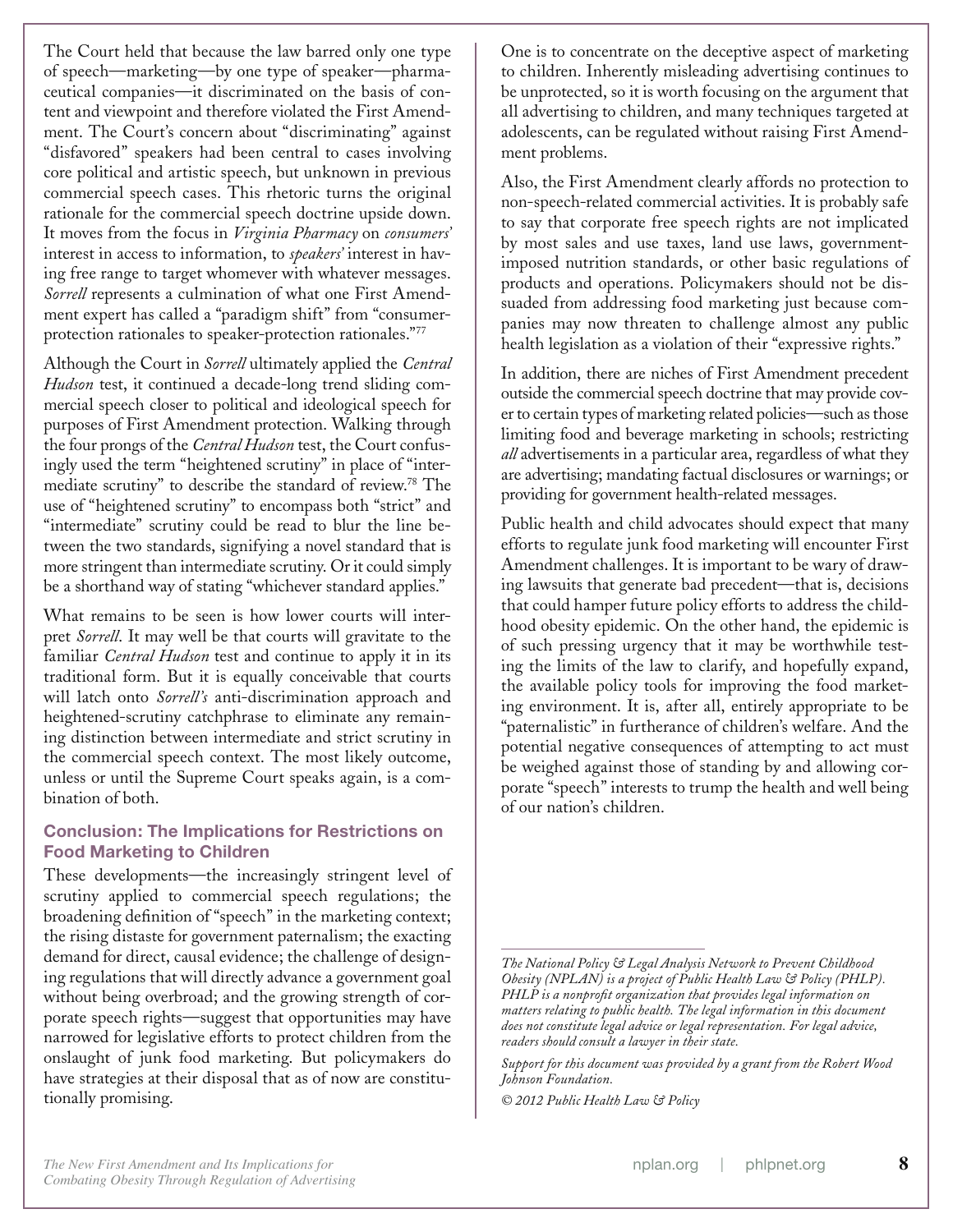The Court held that because the law barred only one type of speech—marketing—by one type of speaker—pharmaceutical companies—it discriminated on the basis of content and viewpoint and therefore violated the First Amendment. The Court's concern about "discriminating" against "disfavored" speakers had been central to cases involving core political and artistic speech, but unknown in previous commercial speech cases. This rhetoric turns the original rationale for the commercial speech doctrine upside down. It moves from the focus in *Virginia Pharmacy* on *consumers'*  interest in access to information, to *speakers'* interest in having free range to target whomever with whatever messages. *Sorrell* represents a culmination of what one First Amendment expert has called a "paradigm shift" from "consumerprotection rationales to speaker-protection rationales."77

Although the Court in *Sorrell* ultimately applied the *Central Hudson* test, it continued a decade-long trend sliding commercial speech closer to political and ideological speech for purposes of First Amendment protection. Walking through the four prongs of the *Central Hudson* test, the Court confusingly used the term "heightened scrutiny" in place of "intermediate scrutiny" to describe the standard of review.78 The use of "heightened scrutiny" to encompass both "strict" and "intermediate" scrutiny could be read to blur the line between the two standards, signifying a novel standard that is more stringent than intermediate scrutiny. Or it could simply be a shorthand way of stating "whichever standard applies."

What remains to be seen is how lower courts will interpret *Sorrell*. It may well be that courts will gravitate to the familiar *Central Hudson* test and continue to apply it in its traditional form. But it is equally conceivable that courts will latch onto *Sorrell's* anti-discrimination approach and heightened-scrutiny catchphrase to eliminate any remaining distinction between intermediate and strict scrutiny in the commercial speech context. The most likely outcome, unless or until the Supreme Court speaks again, is a combination of both.

# **Conclusion: The Implications for Restrictions on Food Marketing to Children**

These developments—the increasingly stringent level of scrutiny applied to commercial speech regulations; the broadening definition of "speech" in the marketing context; the rising distaste for government paternalism; the exacting demand for direct, causal evidence; the challenge of designing regulations that will directly advance a government goal without being overbroad; and the growing strength of corporate speech rights—suggest that opportunities may have narrowed for legislative efforts to protect children from the onslaught of junk food marketing. But policymakers do have strategies at their disposal that as of now are constitutionally promising.

One is to concentrate on the deceptive aspect of marketing to children. Inherently misleading advertising continues to be unprotected, so it is worth focusing on the argument that all advertising to children, and many techniques targeted at adolescents, can be regulated without raising First Amendment problems.

Also, the First Amendment clearly affords no protection to non-speech-related commercial activities. It is probably safe to say that corporate free speech rights are not implicated by most sales and use taxes, land use laws, governmentimposed nutrition standards, or other basic regulations of products and operations. Policymakers should not be dissuaded from addressing food marketing just because companies may now threaten to challenge almost any public health legislation as a violation of their "expressive rights."

In addition, there are niches of First Amendment precedent outside the commercial speech doctrine that may provide cover to certain types of marketing related policies—such as those limiting food and beverage marketing in schools; restricting *all* advertisements in a particular area, regardless of what they are advertising; mandating factual disclosures or warnings; or providing for government health-related messages.

Public health and child advocates should expect that many efforts to regulate junk food marketing will encounter First Amendment challenges. It is important to be wary of drawing lawsuits that generate bad precedent—that is, decisions that could hamper future policy efforts to address the childhood obesity epidemic. On the other hand, the epidemic is of such pressing urgency that it may be worthwhile testing the limits of the law to clarify, and hopefully expand, the available policy tools for improving the food marketing environment. It is, after all, entirely appropriate to be "paternalistic" in furtherance of children's welfare. And the potential negative consequences of attempting to act must be weighed against those of standing by and allowing corporate "speech" interests to trump the health and well being of our nation's children.

*The National Policy & Legal Analysis Network to Prevent Childhood Obesity (NPLAN) is a project of Public Health Law & Policy (PHLP). PHLP is a nonprofit organization that provides legal information on matters relating to public health. The legal information in this document does not constitute legal advice or legal representation. For legal advice, readers should consult a lawyer in their state.* 

*Support for this document was provided by a grant from the Robert Wood Johnson Foundation.* 

*<sup>© 2012</sup> Public Health Law & Policy*